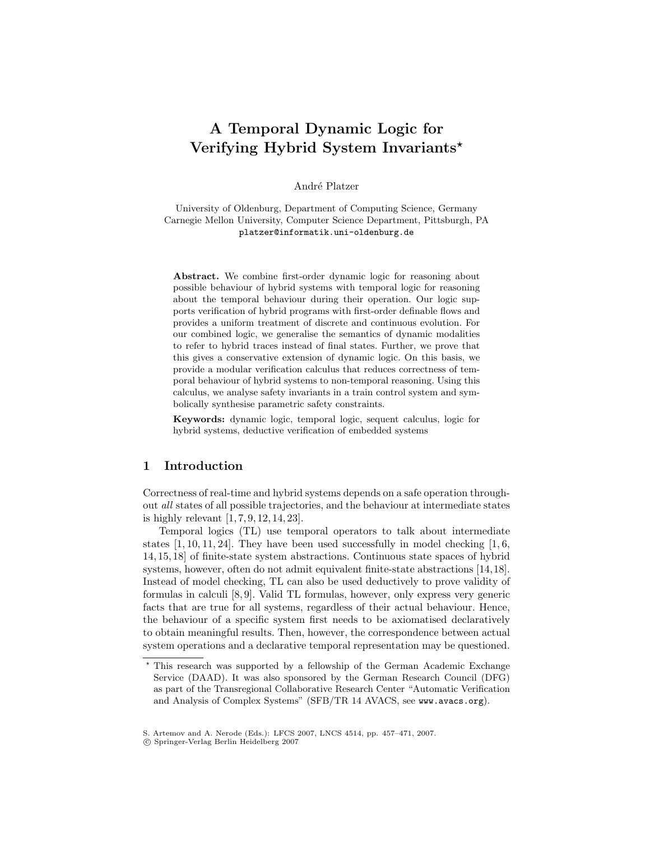# A Temporal Dynamic Logic for Verifying Hybrid System Invariants?

André Platzer

University of Oldenburg, Department of Computing Science, Germany Carnegie Mellon University, Computer Science Department, Pittsburgh, PA platzer@informatik.uni-oldenburg.de

Abstract. We combine first-order dynamic logic for reasoning about possible behaviour of hybrid systems with temporal logic for reasoning about the temporal behaviour during their operation. Our logic supports verification of hybrid programs with first-order definable flows and provides a uniform treatment of discrete and continuous evolution. For our combined logic, we generalise the semantics of dynamic modalities to refer to hybrid traces instead of final states. Further, we prove that this gives a conservative extension of dynamic logic. On this basis, we provide a modular verification calculus that reduces correctness of temporal behaviour of hybrid systems to non-temporal reasoning. Using this calculus, we analyse safety invariants in a train control system and symbolically synthesise parametric safety constraints.

Keywords: dynamic logic, temporal logic, sequent calculus, logic for hybrid systems, deductive verification of embedded systems

# 1 Introduction

Correctness of real-time and hybrid systems depends on a safe operation throughout all states of all possible trajectories, and the behaviour at intermediate states is highly relevant [1, 7, 9, 12, 14, 23].

Temporal logics (TL) use temporal operators to talk about intermediate states  $[1, 10, 11, 24]$ . They have been used successfully in model checking  $[1, 6, 1]$ 14, 15, 18] of finite-state system abstractions. Continuous state spaces of hybrid systems, however, often do not admit equivalent finite-state abstractions [14,18]. Instead of model checking, TL can also be used deductively to prove validity of formulas in calculi [8, 9]. Valid TL formulas, however, only express very generic facts that are true for all systems, regardless of their actual behaviour. Hence, the behaviour of a specific system first needs to be axiomatised declaratively to obtain meaningful results. Then, however, the correspondence between actual system operations and a declarative temporal representation may be questioned.

<sup>?</sup> This research was supported by a fellowship of the German Academic Exchange Service (DAAD). It was also sponsored by the German Research Council (DFG) as part of the Transregional Collaborative Research Center "Automatic Verification and Analysis of Complex Systems" (SFB/TR 14 AVACS, see www.avacs.org).

S. Artemov and A. Nerode (Eds.): LFCS 2007, LNCS 4514, pp. 457–471, 2007.

c Springer-Verlag Berlin Heidelberg 2007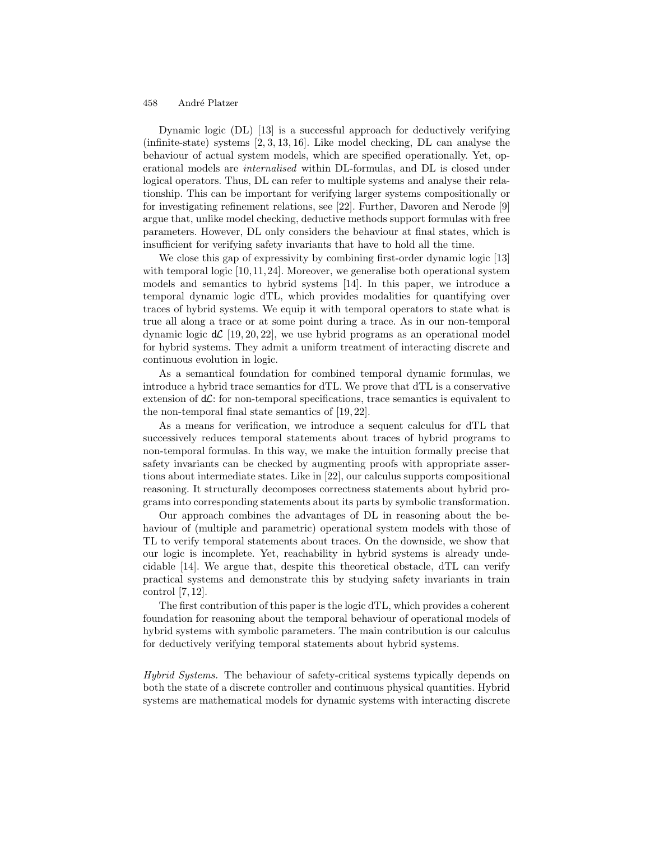Dynamic logic (DL) [13] is a successful approach for deductively verifying (infinite-state) systems  $[2, 3, 13, 16]$ . Like model checking, DL can analyse the behaviour of actual system models, which are specified operationally. Yet, operational models are internalised within DL-formulas, and DL is closed under logical operators. Thus, DL can refer to multiple systems and analyse their relationship. This can be important for verifying larger systems compositionally or for investigating refinement relations, see [22]. Further, Davoren and Nerode [9] argue that, unlike model checking, deductive methods support formulas with free parameters. However, DL only considers the behaviour at final states, which is insufficient for verifying safety invariants that have to hold all the time.

We close this gap of expressivity by combining first-order dynamic logic [13] with temporal logic [10,11,24]. Moreover, we generalise both operational system models and semantics to hybrid systems [14]. In this paper, we introduce a temporal dynamic logic dTL, which provides modalities for quantifying over traces of hybrid systems. We equip it with temporal operators to state what is true all along a trace or at some point during a trace. As in our non-temporal dynamic logic  $d\mathcal{L}$  [19, 20, 22], we use hybrid programs as an operational model for hybrid systems. They admit a uniform treatment of interacting discrete and continuous evolution in logic.

As a semantical foundation for combined temporal dynamic formulas, we introduce a hybrid trace semantics for dTL. We prove that dTL is a conservative extension of  $d\mathcal{L}$ : for non-temporal specifications, trace semantics is equivalent to the non-temporal final state semantics of [19, 22].

As a means for verification, we introduce a sequent calculus for dTL that successively reduces temporal statements about traces of hybrid programs to non-temporal formulas. In this way, we make the intuition formally precise that safety invariants can be checked by augmenting proofs with appropriate assertions about intermediate states. Like in [22], our calculus supports compositional reasoning. It structurally decomposes correctness statements about hybrid programs into corresponding statements about its parts by symbolic transformation.

Our approach combines the advantages of DL in reasoning about the behaviour of (multiple and parametric) operational system models with those of TL to verify temporal statements about traces. On the downside, we show that our logic is incomplete. Yet, reachability in hybrid systems is already undecidable [14]. We argue that, despite this theoretical obstacle, dTL can verify practical systems and demonstrate this by studying safety invariants in train control [7, 12].

The first contribution of this paper is the logic dTL, which provides a coherent foundation for reasoning about the temporal behaviour of operational models of hybrid systems with symbolic parameters. The main contribution is our calculus for deductively verifying temporal statements about hybrid systems.

Hybrid Systems. The behaviour of safety-critical systems typically depends on both the state of a discrete controller and continuous physical quantities. Hybrid systems are mathematical models for dynamic systems with interacting discrete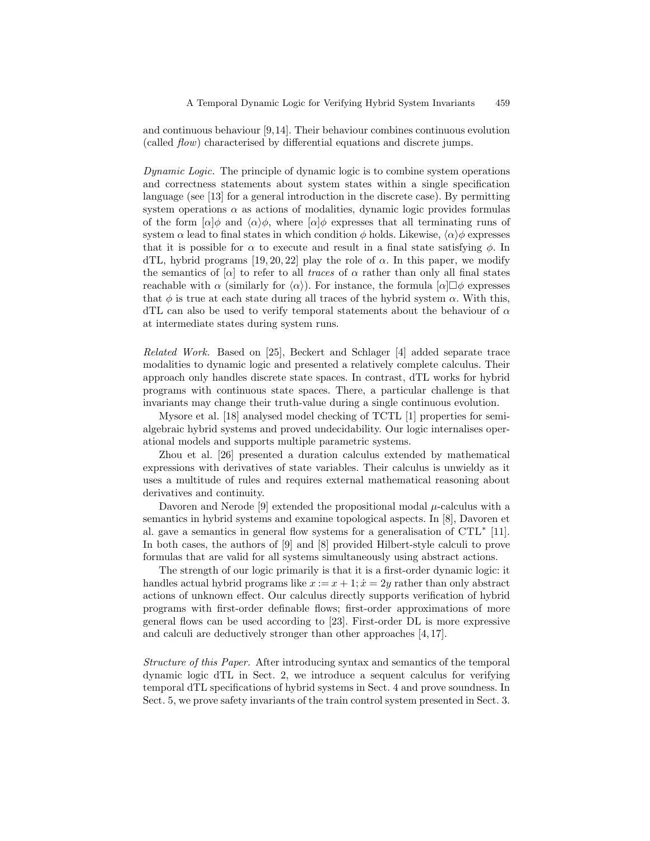and continuous behaviour [9,14]. Their behaviour combines continuous evolution (called flow) characterised by differential equations and discrete jumps.

Dynamic Logic. The principle of dynamic logic is to combine system operations and correctness statements about system states within a single specification language (see [13] for a general introduction in the discrete case). By permitting system operations  $\alpha$  as actions of modalities, dynamic logic provides formulas of the form  $\lbrack \alpha \rbrack \phi$  and  $\langle \alpha \rangle \phi$ , where  $\lbrack \alpha \rbrack \phi$  expresses that all terminating runs of system  $\alpha$  lead to final states in which condition  $\phi$  holds. Likewise,  $\langle \alpha \rangle \phi$  expresses that it is possible for  $\alpha$  to execute and result in a final state satisfying  $\phi$ . In dTL, hybrid programs [19, 20, 22] play the role of  $\alpha$ . In this paper, we modify the semantics of  $[\alpha]$  to refer to all traces of  $\alpha$  rather than only all final states reachable with  $\alpha$  (similarly for  $\langle \alpha \rangle$ ). For instance, the formula  $[\alpha] \Box \phi$  expresses that  $\phi$  is true at each state during all traces of the hybrid system  $\alpha$ . With this, dTL can also be used to verify temporal statements about the behaviour of  $\alpha$ at intermediate states during system runs.

Related Work. Based on [25], Beckert and Schlager [4] added separate trace modalities to dynamic logic and presented a relatively complete calculus. Their approach only handles discrete state spaces. In contrast, dTL works for hybrid programs with continuous state spaces. There, a particular challenge is that invariants may change their truth-value during a single continuous evolution.

Mysore et al. [18] analysed model checking of TCTL [1] properties for semialgebraic hybrid systems and proved undecidability. Our logic internalises operational models and supports multiple parametric systems.

Zhou et al. [26] presented a duration calculus extended by mathematical expressions with derivatives of state variables. Their calculus is unwieldy as it uses a multitude of rules and requires external mathematical reasoning about derivatives and continuity.

Davoren and Nerode [9] extended the propositional modal  $\mu$ -calculus with a semantics in hybrid systems and examine topological aspects. In [8], Davoren et al. gave a semantics in general flow systems for a generalisation of CTL<sup>\*</sup> [11]. In both cases, the authors of [9] and [8] provided Hilbert-style calculi to prove formulas that are valid for all systems simultaneously using abstract actions.

The strength of our logic primarily is that it is a first-order dynamic logic: it handles actual hybrid programs like  $x := x + 1$ ;  $\dot{x} = 2y$  rather than only abstract actions of unknown effect. Our calculus directly supports verification of hybrid programs with first-order definable flows; first-order approximations of more general flows can be used according to [23]. First-order DL is more expressive and calculi are deductively stronger than other approaches [4, 17].

Structure of this Paper. After introducing syntax and semantics of the temporal dynamic logic dTL in Sect. 2, we introduce a sequent calculus for verifying temporal dTL specifications of hybrid systems in Sect. 4 and prove soundness. In Sect. 5, we prove safety invariants of the train control system presented in Sect. 3.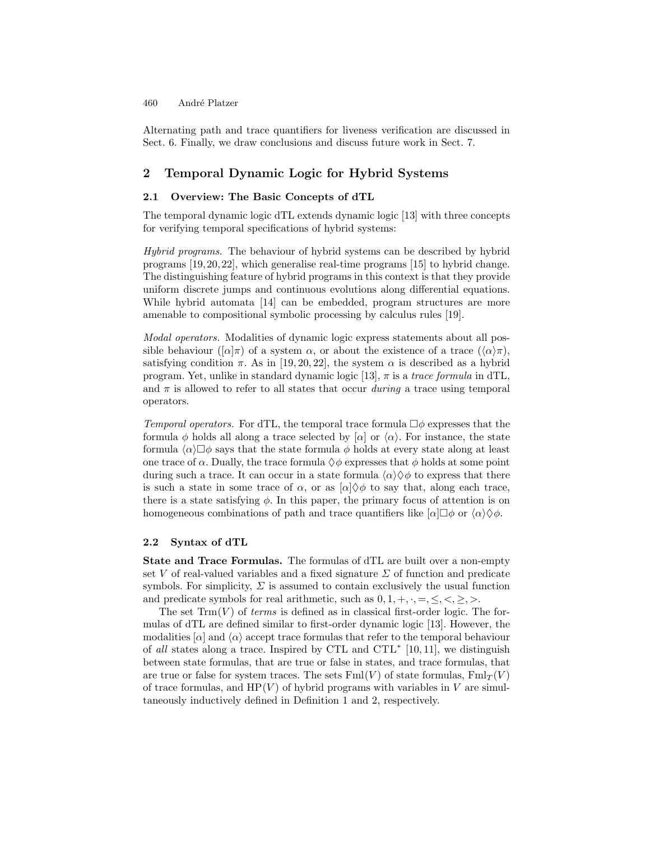Alternating path and trace quantifiers for liveness verification are discussed in Sect. 6. Finally, we draw conclusions and discuss future work in Sect. 7.

### 2 Temporal Dynamic Logic for Hybrid Systems

### 2.1 Overview: The Basic Concepts of dTL

The temporal dynamic logic dTL extends dynamic logic [13] with three concepts for verifying temporal specifications of hybrid systems:

Hybrid programs. The behaviour of hybrid systems can be described by hybrid programs [19, 20, 22], which generalise real-time programs [15] to hybrid change. The distinguishing feature of hybrid programs in this context is that they provide uniform discrete jumps and continuous evolutions along differential equations. While hybrid automata [14] can be embedded, program structures are more amenable to compositional symbolic processing by calculus rules [19].

Modal operators. Modalities of dynamic logic express statements about all possible behaviour  $([\alpha]\pi)$  of a system  $\alpha$ , or about the existence of a trace  $((\alpha)\pi)$ , satisfying condition  $\pi$ . As in [19, 20, 22], the system  $\alpha$  is described as a hybrid program. Yet, unlike in standard dynamic logic [13],  $\pi$  is a trace formula in dTL, and  $\pi$  is allowed to refer to all states that occur during a trace using temporal operators.

Temporal operators. For dTL, the temporal trace formula  $\Box \phi$  expresses that the formula φ holds all along a trace selected by  $[\alpha]$  or  $\langle \alpha \rangle$ . For instance, the state formula  $\langle \alpha \rangle \Box \phi$  says that the state formula  $\phi$  holds at every state along at least one trace of  $\alpha$ . Dually, the trace formula  $\Diamond \phi$  expresses that  $\phi$  holds at some point during such a trace. It can occur in a state formula  $\langle \alpha \rangle \langle \phi \rangle$  to express that there is such a state in some trace of  $\alpha$ , or as  $[\alpha] \diamond \phi$  to say that, along each trace, there is a state satisfying  $\phi$ . In this paper, the primary focus of attention is on homogeneous combinations of path and trace quantifiers like  $[\alpha] \Box \phi$  or  $\langle \alpha \rangle \Diamond \phi$ .

### 2.2 Syntax of dTL

State and Trace Formulas. The formulas of dTL are built over a non-empty set V of real-valued variables and a fixed signature  $\Sigma$  of function and predicate symbols. For simplicity,  $\Sigma$  is assumed to contain exclusively the usual function and predicate symbols for real arithmetic, such as  $0, 1, +, \cdot, =, \leq, \lt, \geq, >.$ 

The set  $\text{Trm}(V)$  of *terms* is defined as in classical first-order logic. The formulas of dTL are defined similar to first-order dynamic logic [13]. However, the modalities  $\alpha$  and  $\langle \alpha \rangle$  accept trace formulas that refer to the temporal behaviour of all states along a trace. Inspired by CTL and CTL<sup>∗</sup> [10, 11], we distinguish between state formulas, that are true or false in states, and trace formulas, that are true or false for system traces. The sets  $Fml(V)$  of state formulas,  $Fml<sub>T</sub>(V)$ of trace formulas, and  $HP(V)$  of hybrid programs with variables in V are simultaneously inductively defined in Definition 1 and 2, respectively.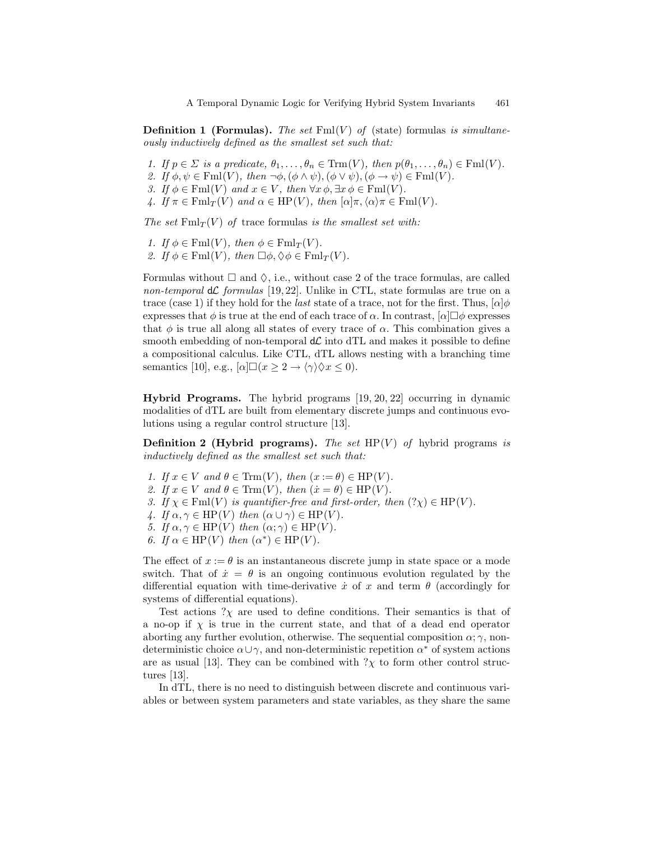**Definition 1 (Formulas).** The set  $\text{Fml}(V)$  of (state) formulas is simultaneously inductively defined as the smallest set such that:

- 1. If  $p \in \Sigma$  is a predicate,  $\theta_1, \ldots, \theta_n \in \text{Trm}(V)$ , then  $p(\theta_1, \ldots, \theta_n) \in \text{Fml}(V)$ .
- 2. If  $\phi, \psi \in \text{Fml}(V)$ , then  $\neg \phi, (\phi \land \psi), (\phi \lor \psi), (\phi \rightarrow \psi) \in \text{Fml}(V)$ .
- 3. If  $\phi \in \text{Fml}(V)$  and  $x \in V$ , then  $\forall x \, \phi, \exists x \, \phi \in \text{Fml}(V)$ .
- 4. If  $\pi \in \text{Fml}_{T}(V)$  and  $\alpha \in \text{HP}(V)$ , then  $[\alpha]\pi, \langle \alpha \rangle \pi \in \text{Fml}(V)$ .

The set  $\text{Fml}_T(V)$  of trace formulas is the smallest set with:

- 1. If  $\phi \in \text{Fml}(V)$ , then  $\phi \in \text{Fml}_{T}(V)$ .
- 2. If  $\phi \in \text{Fml}(V)$ , then  $\Box \phi, \Diamond \phi \in \text{Fml}_T(V)$ .

Formulas without  $\Box$  and  $\Diamond$ , i.e., without case 2 of the trace formulas, are called non-temporal  $d\mathcal{L}$  formulas [19,22]. Unlike in CTL, state formulas are true on a trace (case 1) if they hold for the *last* state of a trace, not for the first. Thus,  $[\alpha]\phi$ expresses that  $\phi$  is true at the end of each trace of  $\alpha$ . In contrast,  $[\alpha] \Box \phi$  expresses that  $\phi$  is true all along all states of every trace of  $\alpha$ . This combination gives a smooth embedding of non-temporal  $d\mathcal{L}$  into dTL and makes it possible to define a compositional calculus. Like CTL, dTL allows nesting with a branching time semantics [10], e.g.,  $[\alpha] \square (x \geq 2 \rightarrow \langle \gamma \rangle \Diamond x \leq 0).$ 

Hybrid Programs. The hybrid programs [19, 20, 22] occurring in dynamic modalities of dTL are built from elementary discrete jumps and continuous evolutions using a regular control structure [13].

**Definition 2 (Hybrid programs).** The set  $HP(V)$  of hybrid programs is inductively defined as the smallest set such that:

- 1. If  $x \in V$  and  $\theta \in \text{Trm}(V)$ , then  $(x := \theta) \in \text{HP}(V)$ .
- 2. If  $x \in V$  and  $\theta \in \text{Trm}(V)$ , then  $(\dot{x} = \theta) \in \text{HP}(V)$ .
- 3. If  $\chi \in \text{Fml}(V)$  is quantifier-free and first-order, then  $(?\chi) \in \text{HP}(V)$ .
- 4. If  $\alpha, \gamma \in \text{HP}(V)$  then  $(\alpha \cup \gamma) \in \text{HP}(V)$ .
- 5. If  $\alpha, \gamma \in \text{HP}(V)$  then  $(\alpha, \gamma) \in \text{HP}(V)$ .
- 6. If  $\alpha \in \text{HP}(V)$  then  $(\alpha^*) \in \text{HP}(V)$ .

The effect of  $x := \theta$  is an instantaneous discrete jump in state space or a mode switch. That of  $\dot{x} = \theta$  is an ongoing continuous evolution regulated by the differential equation with time-derivative  $\dot{x}$  of x and term  $\theta$  (accordingly for systems of differential equations).

Test actions  $?\chi$  are used to define conditions. Their semantics is that of a no-op if  $\chi$  is true in the current state, and that of a dead end operator aborting any further evolution, otherwise. The sequential composition  $\alpha$ ;  $\gamma$ , nondeterministic choice  $\alpha \cup \gamma$ , and non-deterministic repetition  $\alpha^*$  of system actions are as usual [13]. They can be combined with  $?\chi$  to form other control structures [13].

In dTL, there is no need to distinguish between discrete and continuous variables or between system parameters and state variables, as they share the same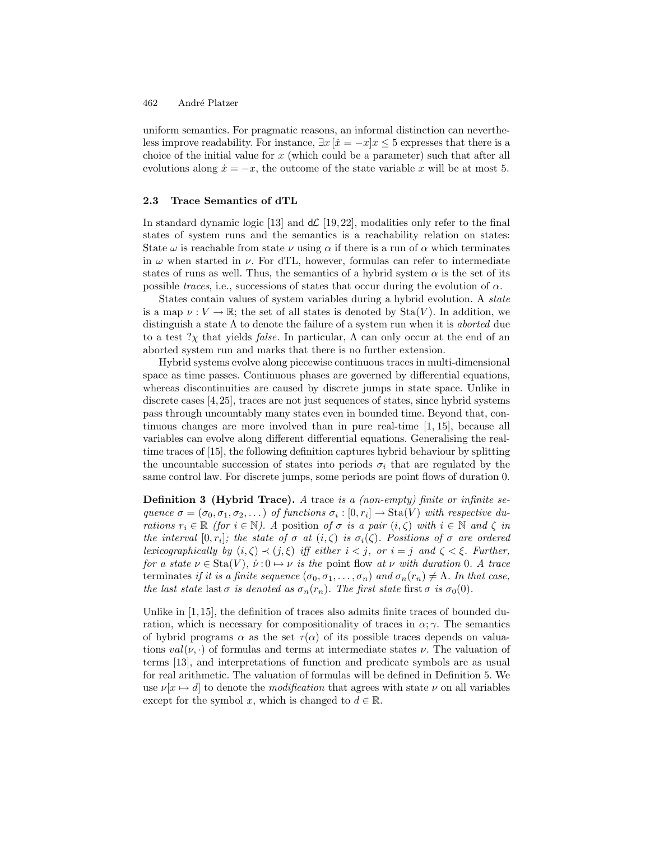uniform semantics. For pragmatic reasons, an informal distinction can nevertheless improve readability. For instance,  $\exists x \, [x = -x]x \leq 5$  expresses that there is a choice of the initial value for  $x$  (which could be a parameter) such that after all evolutions along  $\dot{x} = -x$ , the outcome of the state variable x will be at most 5.

#### 2.3 Trace Semantics of dTL

In standard dynamic logic [13] and  $d\mathcal{L}$  [19, 22], modalities only refer to the final states of system runs and the semantics is a reachability relation on states: State  $\omega$  is reachable from state  $\nu$  using  $\alpha$  if there is a run of  $\alpha$  which terminates in  $\omega$  when started in  $\nu$ . For dTL, however, formulas can refer to intermediate states of runs as well. Thus, the semantics of a hybrid system  $\alpha$  is the set of its possible traces, i.e., successions of states that occur during the evolution of  $\alpha$ .

States contain values of system variables during a hybrid evolution. A state is a map  $\nu: V \to \mathbb{R}$ ; the set of all states is denoted by  $\text{Sta}(V)$ . In addition, we distinguish a state  $\Lambda$  to denote the failure of a system run when it is *aborted* due to a test  $?$ χ that yields *false*. In particular,  $\Lambda$  can only occur at the end of an aborted system run and marks that there is no further extension.

Hybrid systems evolve along piecewise continuous traces in multi-dimensional space as time passes. Continuous phases are governed by differential equations, whereas discontinuities are caused by discrete jumps in state space. Unlike in discrete cases [4,25], traces are not just sequences of states, since hybrid systems pass through uncountably many states even in bounded time. Beyond that, continuous changes are more involved than in pure real-time [1, 15], because all variables can evolve along different differential equations. Generalising the realtime traces of [15], the following definition captures hybrid behaviour by splitting the uncountable succession of states into periods  $\sigma_i$  that are regulated by the same control law. For discrete jumps, some periods are point flows of duration 0.

**Definition 3 (Hybrid Trace).** A trace is a (non-empty) finite or infinite sequence  $\sigma = (\sigma_0, \sigma_1, \sigma_2, \dots)$  of functions  $\sigma_i : [0, r_i] \to \text{Sta}(V)$  with respective durations  $r_i \in \mathbb{R}$  (for  $i \in \mathbb{N}$ ). A position of  $\sigma$  is a pair  $(i, \zeta)$  with  $i \in \mathbb{N}$  and  $\zeta$  in the interval  $[0,r_i]$ ; the state of  $\sigma$  at  $(i,\zeta)$  is  $\sigma_i(\zeta)$ . Positions of  $\sigma$  are ordered lexicographically by  $(i, \zeta) \prec (j, \xi)$  iff either  $i < j$ , or  $i = j$  and  $\zeta < \xi$ . Further, for a state  $\nu \in \text{Sta}(V)$ ,  $\hat{\nu}: 0 \mapsto \nu$  is the point flow at  $\nu$  with duration 0. A trace terminates if it is a finite sequence  $(\sigma_0, \sigma_1, \ldots, \sigma_n)$  and  $\sigma_n(r_n) \neq \Lambda$ . In that case, the last state last  $\sigma$  is denoted as  $\sigma_n(r_n)$ . The first state first  $\sigma$  is  $\sigma_0(0)$ .

Unlike in [1, 15], the definition of traces also admits finite traces of bounded duration, which is necessary for compositionality of traces in  $\alpha$ ;  $\gamma$ . The semantics of hybrid programs  $\alpha$  as the set  $\tau(\alpha)$  of its possible traces depends on valuations  $val(\nu, \cdot)$  of formulas and terms at intermediate states  $\nu$ . The valuation of terms [13], and interpretations of function and predicate symbols are as usual for real arithmetic. The valuation of formulas will be defined in Definition 5. We use  $\nu[x \mapsto d]$  to denote the modification that agrees with state  $\nu$  on all variables except for the symbol x, which is changed to  $d \in \mathbb{R}$ .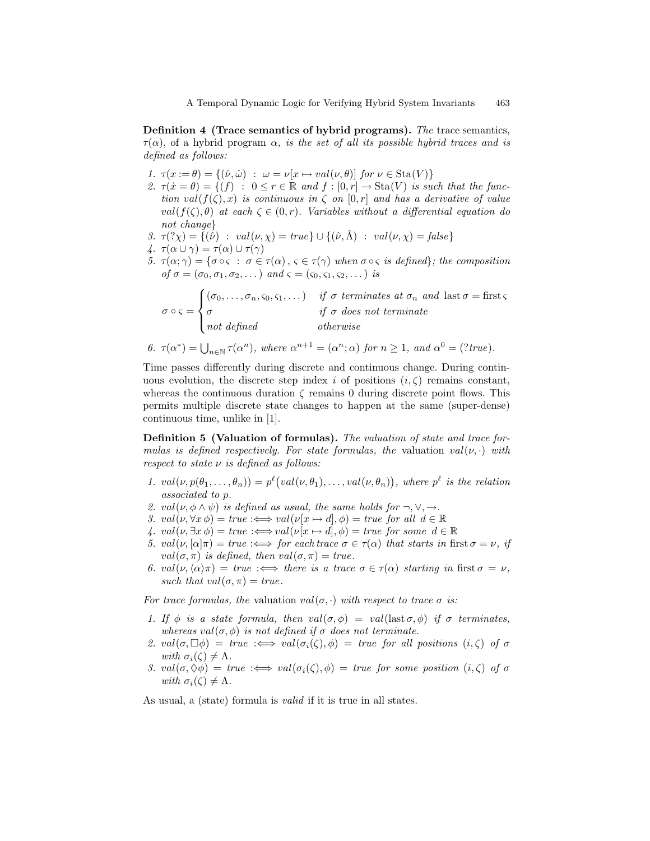Definition 4 (Trace semantics of hybrid programs). The trace semantics,  $\tau(\alpha)$ , of a hybrid program  $\alpha$ , is the set of all its possible hybrid traces and is defined as follows:

- 1.  $\tau(x := \theta) = \{(\hat{\nu}, \hat{\omega}) : \omega = \nu[x \mapsto val(\nu, \theta)] \text{ for } \nu \in \text{Sta}(V) \}$
- 2.  $\tau(\dot{x} = \theta) = \{(f) : 0 \le r \in \mathbb{R} \text{ and } f : [0, r] \to \text{Sta}(V) \text{ is such that the func$ tion val $(f(\zeta), x)$  is continuous in  $\zeta$  on  $[0, r]$  and has a derivative of value  $val(f(\zeta), \theta)$  at each  $\zeta \in (0, r)$ . Variables without a differential equation do not change
- 3.  $\tau(\gamma \chi) = \{(\hat{\nu}) : val(\nu, \chi) = true\} \cup \{(\hat{\nu}, \hat{\Lambda}) : val(\nu, \chi) = false\}$
- 4.  $\tau(\alpha \cup \gamma) = \tau(\alpha) \cup \tau(\gamma)$
- 5.  $\tau(\alpha;\gamma) = {\sigma \circ \varsigma : \sigma \in \tau(\alpha), \varsigma \in \tau(\gamma)}$  when  $\sigma \circ \varsigma$  is defined; the composition of  $\sigma = (\sigma_0, \sigma_1, \sigma_2, \dots)$  and  $\varsigma = (\varsigma_0, \varsigma_1, \varsigma_2, \dots)$  is

$$
\sigma \circ \zeta = \begin{cases}\n(\sigma_0, \dots, \sigma_n, \varsigma_0, \varsigma_1, \dots) & \text{if } \sigma \text{ terminates at } \sigma_n \text{ and } \text{last } \sigma = \text{first } \varsigma \\
\sigma & \text{if } \sigma \text{ does not terminate} \\
\text{not defined} & \text{otherwise}\n\end{cases}
$$

6. 
$$
\tau(\alpha^*) = \bigcup_{n \in \mathbb{N}} \tau(\alpha^n)
$$
, where  $\alpha^{n+1} = (\alpha^n; \alpha)$  for  $n \ge 1$ , and  $\alpha^0 = (?true)$ .

Time passes differently during discrete and continuous change. During continuous evolution, the discrete step index i of positions  $(i, \zeta)$  remains constant, whereas the continuous duration  $\zeta$  remains 0 during discrete point flows. This permits multiple discrete state changes to happen at the same (super-dense) continuous time, unlike in [1].

Definition 5 (Valuation of formulas). The valuation of state and trace formulas is defined respectively. For state formulas, the valuation  $val(\nu, \cdot)$  with respect to state  $\nu$  is defined as follows:

- 1.  $val(\nu, p(\theta_1, \ldots, \theta_n)) = p^{\ell}(val(\nu, \theta_1), \ldots, val(\nu, \theta_n)),$  where  $p^{\ell}$  is the relation associated to p.
- 2. val( $\nu, \phi \wedge \psi$ ) is defined as usual, the same holds for  $\neg, \vee, \rightarrow$ .
- 3.  $val(\nu, \forall x \phi) = true : \Longleftrightarrow val(\nu[x \mapsto d], \phi) = true \text{ for all } d \in \mathbb{R}$
- 4.  $val(\nu, \exists x \phi) = true : \Longleftrightarrow val(\nu[x \mapsto d], \phi) = true \text{ for some } d \in \mathbb{R}$
- 5.  $val(\nu, [\alpha]\pi) = true \implies$  for each trace  $\sigma \in \tau(\alpha)$  that starts in first  $\sigma = \nu$ , if val $(\sigma, \pi)$  is defined, then val $(\sigma, \pi) = true$ .
- 6. val $(\nu,\langle \alpha \rangle \pi) = \text{true} \implies \text{there is a trace } \sigma \in \tau(\alpha) \text{ starting in first } \sigma = \nu,$ such that  $val(\sigma, \pi) = true$ .

For trace formulas, the valuation  $val(\sigma, \cdot)$  with respect to trace  $\sigma$  is:

- 1. If  $\phi$  is a state formula, then  $val(\sigma, \phi) = val(\text{last } \sigma, \phi)$  if  $\sigma$  terminates, whereas val $(\sigma, \phi)$  is not defined if  $\sigma$  does not terminate.
- 2. val $(\sigma, \Box \phi)$  = true  $\iff$  val $(\sigma_i(\zeta), \phi)$  = true for all positions  $(i, \zeta)$  of  $\sigma$ with  $\sigma_i(\zeta) \neq \Lambda$ .
- 3. val $(\sigma, \Diamond \phi) = true \implies val(\sigma_i(\zeta), \phi) = true$  for some position  $(i, \zeta)$  of  $\sigma$ with  $\sigma_i(\zeta) \neq \Lambda$ .

As usual, a (state) formula is valid if it is true in all states.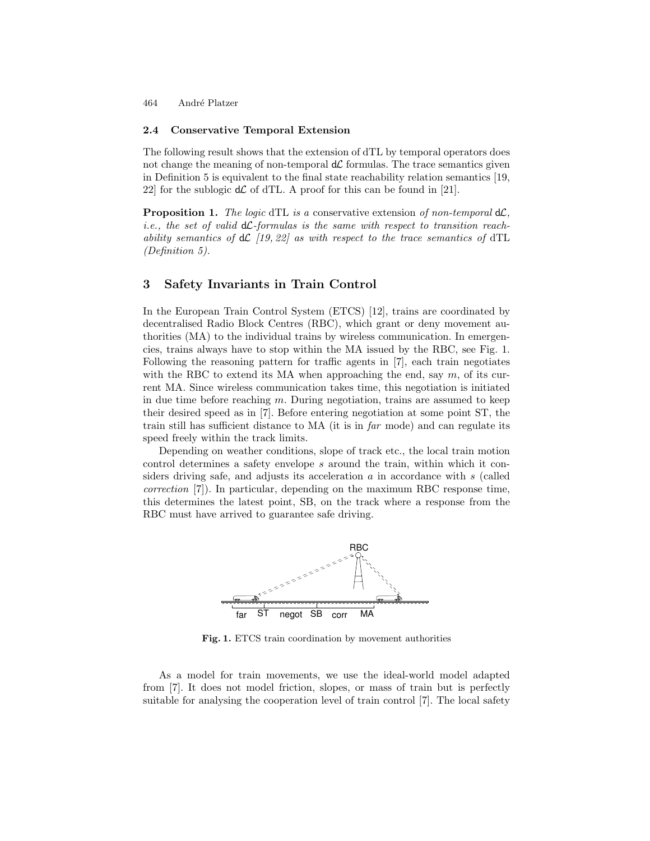#### 2.4 Conservative Temporal Extension

The following result shows that the extension of dTL by temporal operators does not change the meaning of non-temporal  $d\mathcal{L}$  formulas. The trace semantics given in Definition 5 is equivalent to the final state reachability relation semantics [19, 22] for the sublogic  $d\mathcal{L}$  of dTL. A proof for this can be found in [21].

**Proposition 1.** The logic dTL is a conservative extension of non-temporal  $d\mathcal{L}$ . *i.e.*, the set of valid  $d\mathcal{L}$ -formulas is the same with respect to transition reachability semantics of  $d\mathcal{L}$  [19, 22] as with respect to the trace semantics of  $dTL$ (Definition 5).

### 3 Safety Invariants in Train Control

In the European Train Control System (ETCS) [12], trains are coordinated by decentralised Radio Block Centres (RBC), which grant or deny movement authorities (MA) to the individual trains by wireless communication. In emergencies, trains always have to stop within the MA issued by the RBC, see Fig. 1. Following the reasoning pattern for traffic agents in [7], each train negotiates with the RBC to extend its MA when approaching the end, say  $m$ , of its current MA. Since wireless communication takes time, this negotiation is initiated in due time before reaching  $m$ . During negotiation, trains are assumed to keep their desired speed as in [7]. Before entering negotiation at some point ST, the train still has sufficient distance to  $MA$  (it is in  $far$  mode) and can regulate its speed freely within the track limits.

Depending on weather conditions, slope of track etc., the local train motion control determines a safety envelope s around the train, within which it considers driving safe, and adjusts its acceleration  $\alpha$  in accordance with s (called correction [7]). In particular, depending on the maximum RBC response time, this determines the latest point, SB, on the track where a response from the RBC must have arrived to guarantee safe driving.



Fig. 1. ETCS train coordination by movement authorities

As a model for train movements, we use the ideal-world model adapted from [7]. It does not model friction, slopes, or mass of train but is perfectly suitable for analysing the cooperation level of train control [7]. The local safety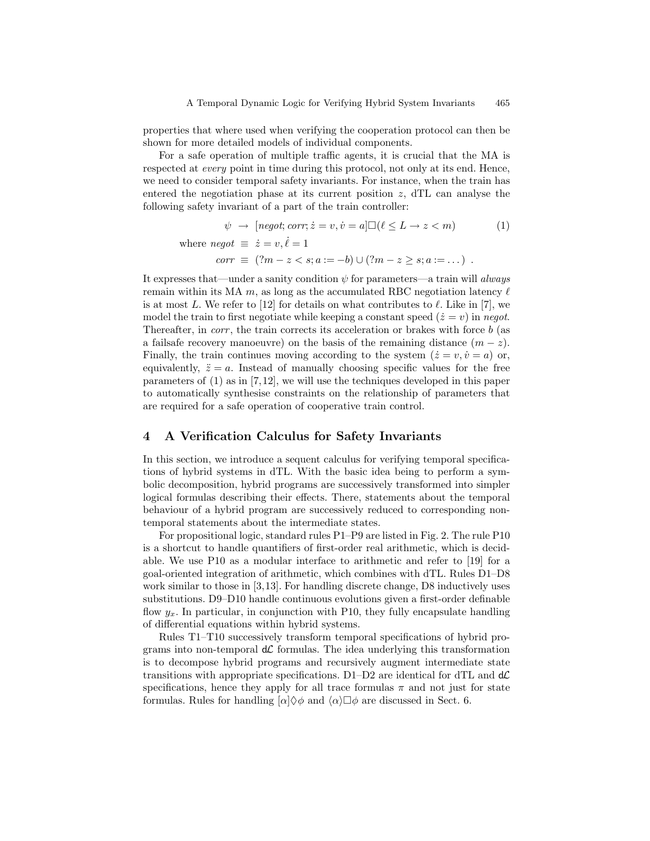properties that where used when verifying the cooperation protocol can then be shown for more detailed models of individual components.

For a safe operation of multiple traffic agents, it is crucial that the MA is respected at *every* point in time during this protocol, not only at its end. Hence, we need to consider temporal safety invariants. For instance, when the train has entered the negotiation phase at its current position  $z$ , dTL can analyse the following safety invariant of a part of the train controller:

$$
\psi \rightarrow [negot; corr; \dot{z} = v, \dot{v} = a] \square (\ell \le L \rightarrow z < m) \tag{1}
$$
\n
$$
\text{where } negot \equiv \dot{z} = v, \dot{\ell} = 1
$$
\n
$$
corr \equiv (?m - z < s; a := -b) \cup (?m - z \ge s; a := \dots) \text{ .}
$$

It expresses that—under a sanity condition  $\psi$  for parameters—a train will always remain within its MA  $m$ , as long as the accumulated RBC negotiation latency  $\ell$ is at most L. We refer to [12] for details on what contributes to  $\ell$ . Like in [7], we model the train to first negotiate while keeping a constant speed  $(\dot{z} = v)$  in negot. Thereafter, in *corr*, the train corrects its acceleration or brakes with force b (as a failsafe recovery manoeuvre) on the basis of the remaining distance  $(m - z)$ . Finally, the train continues moving according to the system  $(\dot{z} = v, \dot{v} = a)$  or, equivalently,  $\ddot{z} = a$ . Instead of manually choosing specific values for the free parameters of (1) as in [7,12], we will use the techniques developed in this paper to automatically synthesise constraints on the relationship of parameters that are required for a safe operation of cooperative train control.

### 4 A Verification Calculus for Safety Invariants

In this section, we introduce a sequent calculus for verifying temporal specifications of hybrid systems in dTL. With the basic idea being to perform a symbolic decomposition, hybrid programs are successively transformed into simpler logical formulas describing their effects. There, statements about the temporal behaviour of a hybrid program are successively reduced to corresponding nontemporal statements about the intermediate states.

For propositional logic, standard rules P1–P9 are listed in Fig. 2. The rule P10 is a shortcut to handle quantifiers of first-order real arithmetic, which is decidable. We use P10 as a modular interface to arithmetic and refer to [19] for a goal-oriented integration of arithmetic, which combines with dTL. Rules D1–D8 work similar to those in [3,13]. For handling discrete change, D8 inductively uses substitutions. D9–D10 handle continuous evolutions given a first-order definable flow  $y_x$ . In particular, in conjunction with P10, they fully encapsulate handling of differential equations within hybrid systems.

Rules T1–T10 successively transform temporal specifications of hybrid programs into non-temporal  $d\mathcal{L}$  formulas. The idea underlying this transformation is to decompose hybrid programs and recursively augment intermediate state transitions with appropriate specifications. D1–D2 are identical for dTL and  $d\mathcal{L}$ specifications, hence they apply for all trace formulas  $\pi$  and not just for state formulas. Rules for handling  $\alpha \otimes \phi$  and  $\langle \alpha \rangle \Box \phi$  are discussed in Sect. 6.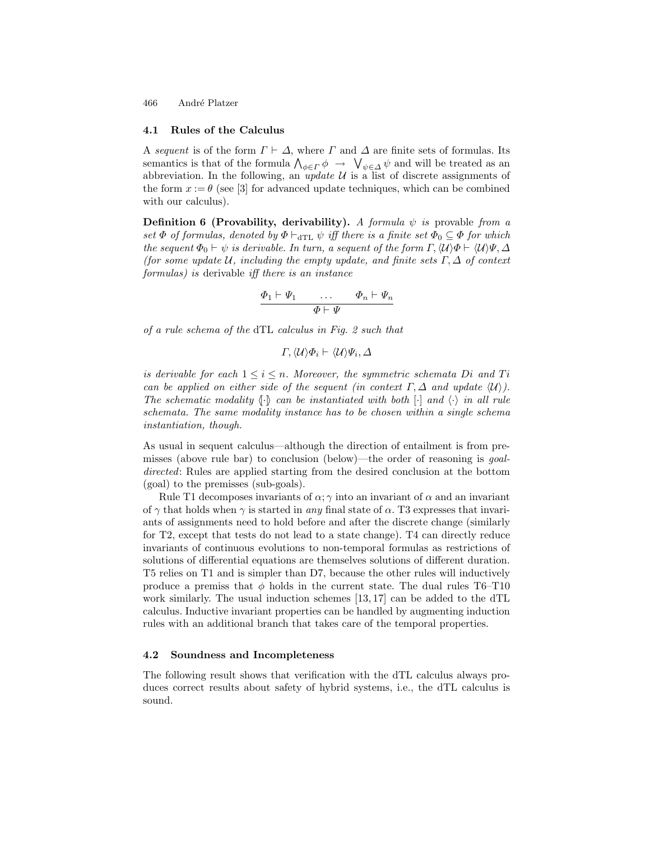#### 4.1 Rules of the Calculus

A sequent is of the form  $\Gamma \vdash \Delta$ , where  $\Gamma$  and  $\Delta$  are finite sets of formulas. Its semantics is that of the formula  $\bigwedge_{\phi \in \Gamma} \phi \to \bigvee_{\psi \in \Delta} \psi$  and will be treated as an abbreviation. In the following, an *update*  $U$  is a list of discrete assignments of the form  $x := \theta$  (see [3] for advanced update techniques, which can be combined with our calculus).

**Definition 6 (Provability, derivability).** A formula  $\psi$  is provable from a set  $\Phi$  of formulas, denoted by  $\Phi \vdash_{\text{dTL}} \psi$  iff there is a finite set  $\Phi_0 \subseteq \Phi$  for which the sequent  $\Phi_0 \vdash \psi$  is derivable. In turn, a sequent of the form  $\Gamma$ ,  $\langle \mathcal{U} \rangle \Phi \vdash \langle \mathcal{U} \rangle \Psi$ ,  $\Delta$ (for some update U, including the empty update, and finite sets  $\Gamma, \Delta$  of context formulas) is derivable iff there is an instance

$$
\begin{array}{ccc}\Phi_1 \vdash \varPsi_1 & \dots & \varPhi_n \vdash \varPsi_n \\ \hline \varPhi \vdash \varPsi\end{array}
$$

of a rule schema of the dTL calculus in Fig. 2 such that

$$
\Gamma,\langle \mathcal{U}\rangle\varPhi_i\vdash \langle \mathcal{U}\rangle\varPsi_i,\varDelta
$$

is derivable for each  $1 \leq i \leq n$ . Moreover, the symmetric schemata Di and Ti can be applied on either side of the sequent (in context  $\Gamma, \Delta$  and update  $\langle \mathcal{U} \rangle$ ). The schematic modality  $\langle \cdot \rangle$  can be instantiated with both  $\langle \cdot \rangle$  in all rule schemata. The same modality instance has to be chosen within a single schema instantiation, though.

As usual in sequent calculus—although the direction of entailment is from premisses (above rule bar) to conclusion (below)—the order of reasoning is goaldirected: Rules are applied starting from the desired conclusion at the bottom (goal) to the premisses (sub-goals).

Rule T1 decomposes invariants of  $\alpha$ ;  $\gamma$  into an invariant of  $\alpha$  and an invariant of  $\gamma$  that holds when  $\gamma$  is started in any final state of  $\alpha$ . T3 expresses that invariants of assignments need to hold before and after the discrete change (similarly for T2, except that tests do not lead to a state change). T4 can directly reduce invariants of continuous evolutions to non-temporal formulas as restrictions of solutions of differential equations are themselves solutions of different duration. T5 relies on T1 and is simpler than D7, because the other rules will inductively produce a premiss that  $\phi$  holds in the current state. The dual rules T6–T10 work similarly. The usual induction schemes  $[13, 17]$  can be added to the dTL calculus. Inductive invariant properties can be handled by augmenting induction rules with an additional branch that takes care of the temporal properties.

#### 4.2 Soundness and Incompleteness

The following result shows that verification with the dTL calculus always produces correct results about safety of hybrid systems, i.e., the dTL calculus is sound.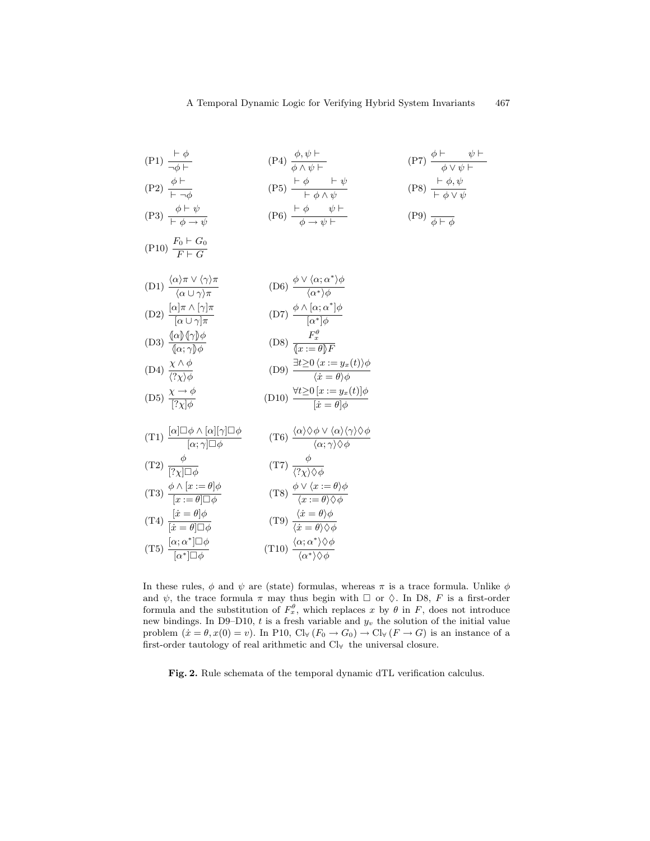$$
(P1) \frac{\begin{array}{l}\n\frac{\begin{array}{l}\n\frac{\begin{array}{l}\n\frac{\partial}{\partial p} \\
\frac{\partial}{\partial p} \\
\frac{\partial}{\partial p} \\
\frac{\partial}{\partial p} \\
\frac{\partial}{\partial p} \\
\frac{\partial}{\partial p} \\
\frac{\partial}{\partial p} \\
\frac{\partial}{\partial p} \\
\frac{\partial}{\partial p} \\
\frac{\partial}{\partial p} \\
\frac{\partial}{\partial p} \\
\frac{\partial}{\partial p} \\
\frac{\partial}{\partial p} \\
\frac{\partial}{\partial p} \\
\frac{\partial}{\partial p} \\
\frac{\partial}{\partial p} \\
\frac{\partial}{\partial p} \\
\frac{\partial}{\partial p} \\
\frac{\partial}{\partial p} \\
\frac{\partial}{\partial p} \\
\frac{\partial}{\partial p} \\
\frac{\partial}{\partial p} \\
\frac{\partial}{\partial p} \\
\frac{\partial}{\partial p} \\
\frac{\partial}{\partial p} \\
\frac{\partial}{\partial p} \\
\frac{\partial}{\partial p} \\
\frac{\partial}{\partial p} \\
\frac{\partial}{\partial p} \\
\frac{\partial}{\partial p} \\
\frac{\partial}{\partial p} \\
\frac{\partial}{\partial p} \\
\frac{\partial}{\partial p} \\
\frac{\partial}{\partial p} \\
\frac{\partial}{\partial p} \\
\frac{\partial}{\partial p} \\
\frac{\partial}{\partial p} \\
\frac{\partial}{\partial p} \\
\frac{\partial}{\partial p} \\
\frac{\partial}{\partial p} \\
\frac{\partial}{\partial p} \\
\frac{\partial}{\partial p} \\
\frac{\partial}{\partial p} \\
\frac{\partial}{\partial p} \\
\frac{\partial}{\partial p} \\
\frac{\partial}{\partial p} \\
\frac{\partial}{\partial p} \\
\frac{\partial}{\partial p} \\
\frac{\partial}{\partial p} \\
\frac{\partial}{\partial p} \\
\frac{\partial}{\partial p} \\
\frac{\partial}{\partial p} \\
\frac{\partial}{\partial p} \\
\frac{\partial}{\partial p} \\
\frac{\partial}{\partial p} \\
\frac{\partial}{\partial p} \\
\frac{\partial}{\partial p} \\
\frac{\partial}{\partial p} \\
\frac{\partial}{\partial p} \\
\frac{\partial}{\partial p} \\
\frac{\partial}{\partial p} \\
\frac{\partial}{\partial p} \\
\frac{\partial}{\partial p} \\
\frac{\partial}{\partial p} \\
\frac{\partial}{\partial p} \\
\frac{\partial}{\partial p} \\
\frac{\partial}{\partial p} \\
\frac{\partial}{\partial p} \\
\frac{\partial}{\partial p} \\
\frac{\partial}{\partial p} \\
\frac{\partial}{\partial p} \\
\frac{\partial}{\partial p} \\
\frac{\partial}{\
$$

$$
(P10)\ \frac{F_0 \vdash G_0}{F \vdash G}
$$

(D1) 
$$
\frac{\langle \alpha \rangle \pi \vee \langle \gamma \rangle \pi}{\langle \alpha \cup \gamma \rangle \pi}
$$
 (D6)  $\frac{\phi \vee \langle \alpha; \alpha^* \rangle \phi}{\langle \alpha^* \rangle \phi}$   
(D2)  $\frac{[\alpha] \pi \wedge [\gamma] \pi}{[\alpha \cup \gamma] \pi}$  (D7)  $\frac{\phi \wedge [\alpha; \alpha^*] \phi}{[\alpha^*] \phi}$ 

(D3) 
$$
\frac{\langle \alpha \rangle \langle \gamma \rangle \phi}{\langle \alpha; \gamma \rangle \phi}
$$
 (D8) 
$$
\frac{F_x^{\theta}}{\langle x := \theta \rangle F}
$$
  
\n
$$
\langle \alpha, \gamma \rangle \phi
$$
 (D9) 
$$
\frac{F_x^{\theta}}{\langle x := \theta \rangle F}
$$

(D4) 
$$
\frac{\chi \wedge \psi}{\langle ? \chi \rangle \phi}
$$
 (D9)  $\frac{\psi \geq 0 \langle x \cdot - y_x(t) \rangle \psi}{\langle x = \theta \rangle \phi}$   
(D5)  $\chi \to \phi$  (D10)  $\forall t \geq 0 \ [x := y_x(t)] \phi$ 

$$
(D10) \frac{x}{[?x]\phi} \qquad (D10) \frac{x}{[x=\theta]\phi}
$$

(T1) 
$$
\frac{[\alpha]\Box \phi \wedge [\alpha][\gamma]\Box \phi}{[\alpha;\gamma]\Box \phi}
$$
 (T6) 
$$
\frac{\langle \alpha \rangle \Diamond \phi \vee \langle \alpha \rangle \langle \gamma \rangle \Diamond \phi}{\langle \alpha;\gamma \rangle \Diamond \phi}
$$

(T2) 
$$
\frac{1}{[? \chi] \Box \phi}
$$
 (T7)  $\frac{1}{\langle ? \chi \rangle \Diamond \phi}$   
(T3)  $\frac{\phi \land [x := \theta] \phi}{[? \chi] \Diamond \phi}$  (T8)  $\frac{\phi \lor \langle x := \theta \rangle \phi}{[? \chi] \Diamond \phi}$ 

$$
(13) \frac{x := \theta \Box \phi}{[x := \theta] \Box \phi}
$$
\n
$$
(14) \frac{[x = \theta] \phi}{[x = \theta] \Box \phi}
$$
\n
$$
(15) \frac{x := \theta \Diamond \phi}{[x := \theta] \Diamond \phi}
$$
\n
$$
(16) \frac{x := \theta \Diamond \phi}{[x := \theta] \Diamond \phi}
$$
\n
$$
(17) \frac{\Diamond x := \theta \Diamond \phi}{[x := \theta] \Diamond \phi}
$$
\n
$$
(18) \frac{\Diamond x := \theta \Diamond \phi}{[x := \theta] \Diamond \phi}
$$

(T5) 
$$
\frac{1}{[\alpha^*] \Box \phi}
$$
 (T10) 
$$
\frac{1}{\langle \alpha^* \rangle \Diamond \phi}
$$

In these rules,  $\phi$  and  $\psi$  are (state) formulas, whereas  $\pi$  is a trace formula. Unlike  $\phi$ and  $\psi$ , the trace formula  $\pi$  may thus begin with  $\Box$  or  $\Diamond$ . In D8, F is a first-order formula and the substitution of  $F_x^{\theta}$ , which replaces x by  $\theta$  in F, does not introduce new bindings. In D9–D10, t is a fresh variable and  $y_v$  the solution of the initial value problem  $(\dot{x} = \theta, x(0) = v)$ . In P10,  $\text{Cl}_{\forall}(F_0 \to G_0) \to \text{Cl}_{\forall}(F \to G)$  is an instance of a first-order tautology of real arithmetic and Cl<sup>∀</sup> the universal closure.

Fig. 2. Rule schemata of the temporal dynamic dTL verification calculus.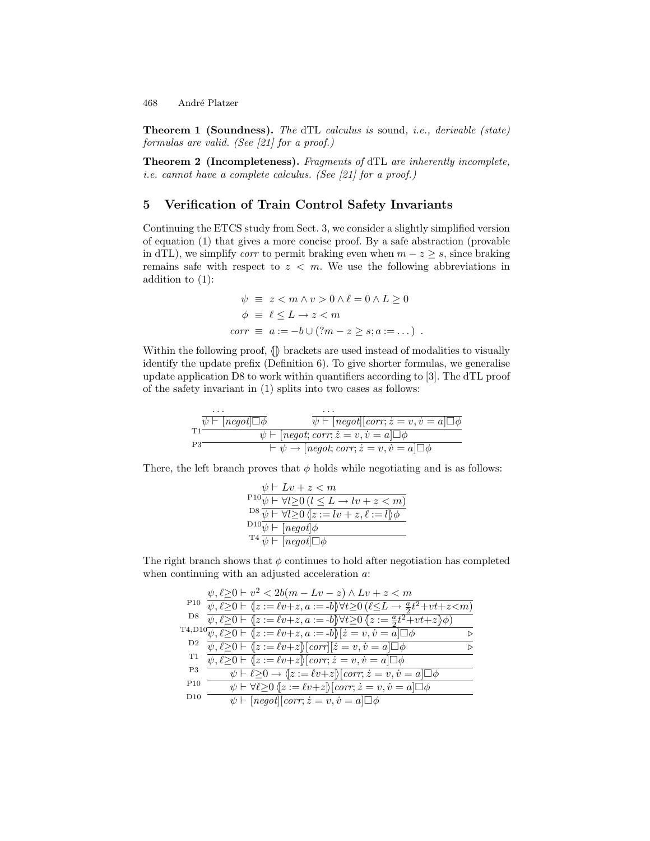Theorem 1 (Soundness). The dTL calculus is sound, i.e., derivable (state) formulas are valid. (See [21] for a proof.)

Theorem 2 (Incompleteness). Fragments of dTL are inherently incomplete, i.e. cannot have a complete calculus. (See [21] for a proof.)

# 5 Verification of Train Control Safety Invariants

Continuing the ETCS study from Sect. 3, we consider a slightly simplified version of equation (1) that gives a more concise proof. By a safe abstraction (provable in dTL), we simplify *corr* to permit braking even when  $m - z \geq s$ , since braking remains safe with respect to  $z < m$ . We use the following abbreviations in addition to (1):

$$
\psi \equiv z < m \land v > 0 \land \ell = 0 \land L \ge 0
$$
\n
$$
\phi \equiv \ell \le L \to z < m
$$
\n
$$
corr \equiv a := -b \cup (?m - z \ge s; a := \dots)
$$

Within the following proof,  $\langle \mathbb{I} \rangle$  brackets are used instead of modalities to visually identify the update prefix (Definition 6). To give shorter formulas, we generalise update application D8 to work within quantifiers according to [3]. The dTL proof of the safety invariant in (1) splits into two cases as follows:

$$
\overbrace{v \vdash [negot] \Box \phi}_{\text{P3}} \overbrace{\psi \vdash [negot] \text{ (corr; } z = v, v = a] \Box \phi}_{\text{P3}}^{\text{L1}} \\
 \overbrace{\psi \vdash [negot; corr; z = v, v = a] \Box \phi}_{\text{P3}}^{\text{L2}} \\
 \overbrace{\psi \rightarrow [negot; corr; z = v, v = a] \Box \phi}_{\text{P4}}^{\text{L3}} \\
 \overbrace{\psi \vdash [negot; corr; z = v, v = a] \Box \phi}_{\text{P5}}^{\text{L4}} \\
 \overbrace{\psi \vdash [negot; corr; z = v, v = a] \Box \phi}_{\text{P5}}^{\text{L4}}^{\text{L5}} \\
 \overbrace{\psi \vdash [negot; corr; z = v, v = a] \Box \phi}_{\text{P6}}^{\text{L5}}^{\text{L6}} \\
 \overbrace{\psi \vdash [negot; corr; z = v, v = a] \Box \phi}_{\text{P6}}^{\text{L5}}^{\text{L6}} \\
 \overbrace{\psi \vdash [negot; corr; z = v, v = a] \Box \phi}_{\text{P6}}^{\text{L6}}^{\text{L7}} \\
 \overbrace{\psi \vdash [negot; corr; z = v, v = a] \Box \phi}_{\text{P6}}^{\text{L8}}^{\text{L9}} \\
 \overbrace{\psi \vdash [negot; corr; z = v, v = a] \Box \phi}_{\text{P7}}^{\text{L8}}^{\text{L9}} \\
 \overbrace{\psi \vdash [negot; car; z = v, v = a] \Box \phi}_{\text{P6}}^{\text{L9}}^{\text{L1}} \\
 \overbrace{\psi \vdash [negot; car; z = v, v = a] \Box \phi}_{\text{P6}}^{\text{L1}}^{\text{L1}} \\
 \overbrace{\psi \vdash [negot; car; z = v, v = a] \Box \phi}_{\text{P6}}^{\text{L1}}^{\text{L1}} \\
 \overbrace{\psi \vdash [negot; car; z = v, v = a] \Box \phi}_{\text{P6}}^{\text{L1}}^{\text{L1}} \\
 \overbrace{\psi \vdash [negot; car; z = v, v = a] \Box \phi}_{\text{P6}}^{\text{L1}}^{\text{L1}} \\
 \overbrace{\psi \vdash [negot; car; z = v, v = a] \Box \phi}_{\text{P6}}^{\text{L1}}^
$$

There, the left branch proves that  $\phi$  holds while negotiating and is as follows:

| $\psi \vdash Lv + z < m$                                                                            |
|-----------------------------------------------------------------------------------------------------|
| $P^{10}\overline{\psi \vdash \forall l \geq 0}$ $(l \leq L \rightarrow lr + z < m)$                 |
| $D^8 \overline{\psi} \vdash \forall l \geq 0 \overline{\langle z :=lv + z, \ell := l \rangle} \phi$ |
| $D_{10} \overline{\psi \vdash}$ [negot] $\phi$                                                      |
| $T^4 \overline{\psi}$   negot  $\Box \phi$                                                          |

The right branch shows that  $\phi$  continues to hold after negotiation has completed when continuing with an adjusted acceleration  $a$ .

|                | $\psi, \ell \geq 0 \vdash v^2 < 2b(m - Lv - z) \wedge Lv + z < m$                                                             |  |
|----------------|-------------------------------------------------------------------------------------------------------------------------------|--|
| P10            | $\psi, \ell \geq 0 \vdash (z := \ell v + z, a := -b) \forall t \geq 0 (\ell \leq L \rightarrow \frac{a}{2} t^2 + vt + z < m)$ |  |
| D8             | $\psi,\ell{\geq}0\vdash \{z:=\ell v+z,a:=-b\}\forall t{\geq}0\ \{z:=\tfrac{a}{2}t^2+vt+z\}\phi)$                              |  |
|                | T <sub>4</sub> ,D <sub>1</sub> 0 $\psi$ , $\ell \ge 0$ $\vdash \langle \{z:=\ell v+z, a:=-b\} \rangle [z=v, v=a] \Box \phi$   |  |
| D <sub>2</sub> | $\psi, \ell \geq 0 \vdash \langle z := \ell v + z \rangle \vert corr \vert \vert \dot{z} = v, \dot{v} = a \vert \Box \phi$    |  |
| T1             | $\psi, \ell \geq 0 \vdash \langle z := \ell v + z \rangle$ [corr; $\dot{z} = v, \dot{v} = a \square \phi$                     |  |
| P3             | $\psi \vdash \ell \geq 0 \rightarrow \{z := \ell v + z\}$ [corr; $\dot{z} = v, \dot{v} = a \Box \phi$                         |  |
| P10            | $\psi \vdash \forall \ell \geq 0 \ (z := \ell v + z) [\text{corr}; \dot{z} = v, \dot{v} = a] \square \phi$                    |  |
| $_{\rm D10}$   | $\psi \vdash [negot][corr; \dot{z} = v, \dot{v} = a] \Box \phi$                                                               |  |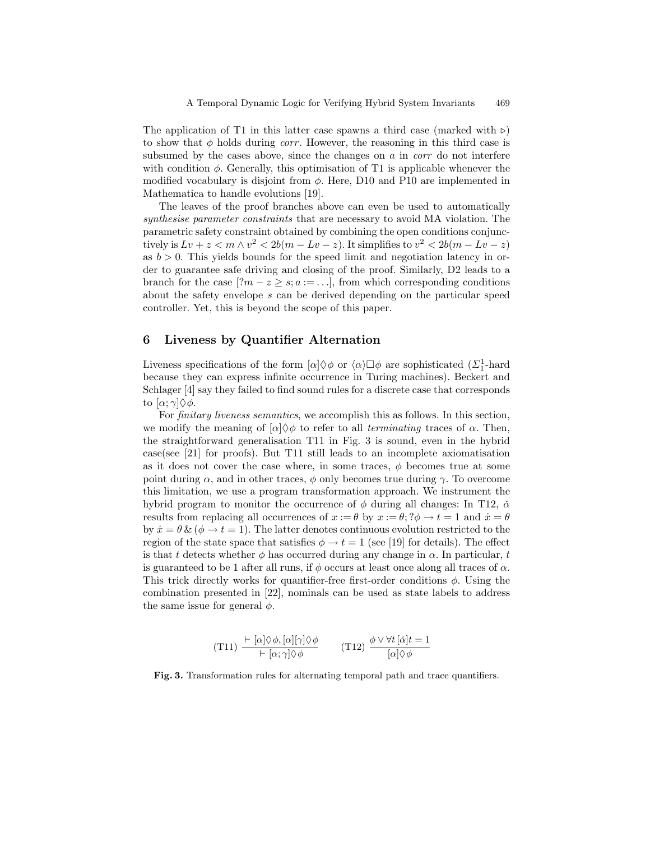The application of T1 in this latter case spawns a third case (marked with  $\triangleright$ ) to show that  $\phi$  holds during *corr*. However, the reasoning in this third case is subsumed by the cases above, since the changes on  $a$  in  $corr$  do not interfere with condition  $\phi$ . Generally, this optimisation of T1 is applicable whenever the modified vocabulary is disjoint from  $\phi$ . Here, D10 and P10 are implemented in Mathematica to handle evolutions [19].

The leaves of the proof branches above can even be used to automatically synthesise parameter constraints that are necessary to avoid MA violation. The parametric safety constraint obtained by combining the open conditions conjunctively is  $Lv + z < m \wedge v^2 < 2b(m - Lv - z)$ . It simplifies to  $v^2 < 2b(m - Lv - z)$ as  $b > 0$ . This yields bounds for the speed limit and negotiation latency in order to guarantee safe driving and closing of the proof. Similarly, D2 leads to a branch for the case  $[?m - z \geq s; a := \ldots]$ , from which corresponding conditions about the safety envelope s can be derived depending on the particular speed controller. Yet, this is beyond the scope of this paper.

### 6 Liveness by Quantifier Alternation

Liveness specifications of the form  $[\alpha] \Diamond \phi$  or  $\langle \alpha \rangle \Box \phi$  are sophisticated  $(\Sigma_1^1$ -hard because they can express infinite occurrence in Turing machines). Beckert and Schlager [4] say they failed to find sound rules for a discrete case that corresponds to  $[α; γ]$  $\Diamond$ *φ*.

For finitary liveness semantics, we accomplish this as follows. In this section, we modify the meaning of  $\alpha$   $\Diamond \phi$  to refer to all terminating traces of  $\alpha$ . Then, the straightforward generalisation T11 in Fig. 3 is sound, even in the hybrid case(see [21] for proofs). But T11 still leads to an incomplete axiomatisation as it does not cover the case where, in some traces,  $\phi$  becomes true at some point during  $\alpha$ , and in other traces,  $\phi$  only becomes true during  $\gamma$ . To overcome this limitation, we use a program transformation approach. We instrument the hybrid program to monitor the occurrence of  $\phi$  during all changes: In T12,  $\check{\alpha}$ results from replacing all occurrences of  $x := \theta$  by  $x := \theta$ ;  $2\phi \rightarrow t = 1$  and  $\dot{x} = \theta$ by  $\dot{x} = \theta \& (\phi \rightarrow t = 1)$ . The latter denotes continuous evolution restricted to the region of the state space that satisfies  $\phi \to t = 1$  (see [19] for details). The effect is that t detects whether  $\phi$  has occurred during any change in  $\alpha$ . In particular, t is guaranteed to be 1 after all runs, if  $\phi$  occurs at least once along all traces of  $\alpha$ . This trick directly works for quantifier-free first-order conditions  $\phi$ . Using the combination presented in [22], nominals can be used as state labels to address the same issue for general  $\phi$ .

(T11) 
$$
\frac{\vdash [\alpha] \Diamond \phi, [\alpha][\gamma] \Diamond \phi}{\vdash [\alpha; \gamma] \Diamond \phi}
$$
 (T12) 
$$
\frac{\phi \lor \forall t [\check{\alpha}] t = 1}{[\alpha] \Diamond \phi}
$$

Fig. 3. Transformation rules for alternating temporal path and trace quantifiers.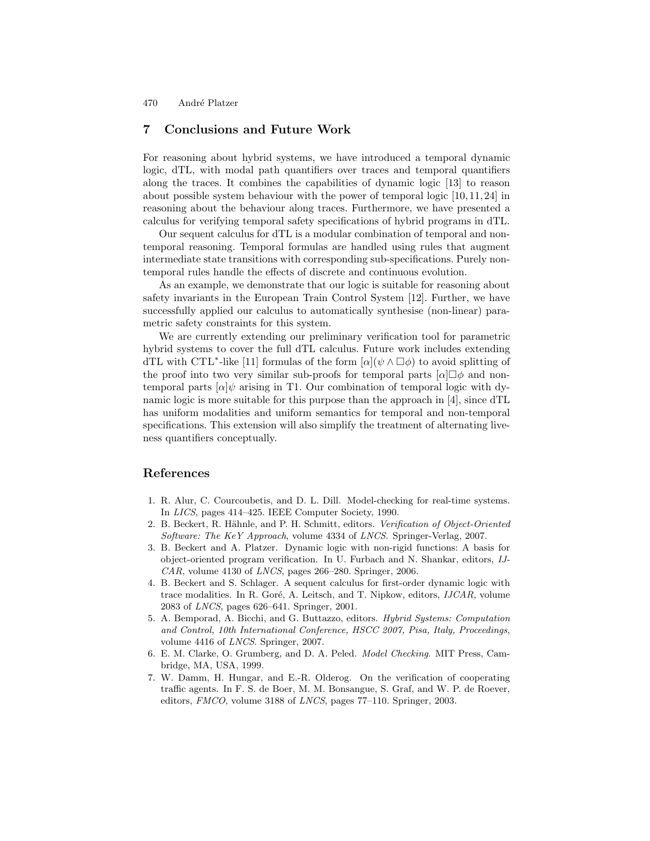# 7 Conclusions and Future Work

For reasoning about hybrid systems, we have introduced a temporal dynamic logic, dTL, with modal path quantifiers over traces and temporal quantifiers along the traces. It combines the capabilities of dynamic logic [13] to reason about possible system behaviour with the power of temporal logic [10, 11, 24] in reasoning about the behaviour along traces. Furthermore, we have presented a calculus for verifying temporal safety specifications of hybrid programs in dTL.

Our sequent calculus for dTL is a modular combination of temporal and nontemporal reasoning. Temporal formulas are handled using rules that augment intermediate state transitions with corresponding sub-specifications. Purely nontemporal rules handle the effects of discrete and continuous evolution.

As an example, we demonstrate that our logic is suitable for reasoning about safety invariants in the European Train Control System [12]. Further, we have successfully applied our calculus to automatically synthesise (non-linear) parametric safety constraints for this system.

We are currently extending our preliminary verification tool for parametric hybrid systems to cover the full dTL calculus. Future work includes extending dTL with CTL<sup>\*</sup>-like [11] formulas of the form  $[\alpha](\psi \wedge \Box \phi)$  to avoid splitting of the proof into two very similar sub-proofs for temporal parts  $[\alpha] \Box \phi$  and nontemporal parts  $\alpha|\psi$  arising in T1. Our combination of temporal logic with dynamic logic is more suitable for this purpose than the approach in  $|4|$ , since  $\mathrm{dTL}$ has uniform modalities and uniform semantics for temporal and non-temporal specifications. This extension will also simplify the treatment of alternating liveness quantifiers conceptually.

### References

- 1. R. Alur, C. Courcoubetis, and D. L. Dill. Model-checking for real-time systems. In LICS, pages 414–425. IEEE Computer Society, 1990.
- 2. B. Beckert, R. Hähnle, and P. H. Schmitt, editors. Verification of Object-Oriented Software: The KeY Approach, volume 4334 of LNCS. Springer-Verlag, 2007.
- 3. B. Beckert and A. Platzer. Dynamic logic with non-rigid functions: A basis for object-oriented program verification. In U. Furbach and N. Shankar, editors, IJ- $CAR$ , volume 4130 of  $LNCS$ , pages 266–280. Springer, 2006.
- 4. B. Beckert and S. Schlager. A sequent calculus for first-order dynamic logic with trace modalities. In R. Goré, A. Leitsch, and T. Nipkow, editors, IJCAR, volume 2083 of LNCS, pages 626–641. Springer, 2001.
- 5. A. Bemporad, A. Bicchi, and G. Buttazzo, editors. Hybrid Systems: Computation and Control, 10th International Conference, HSCC 2007, Pisa, Italy, Proceedings, volume 4416 of LNCS. Springer, 2007.
- 6. E. M. Clarke, O. Grumberg, and D. A. Peled. Model Checking. MIT Press, Cambridge, MA, USA, 1999.
- 7. W. Damm, H. Hungar, and E.-R. Olderog. On the verification of cooperating traffic agents. In F. S. de Boer, M. M. Bonsangue, S. Graf, and W. P. de Roever, editors, FMCO, volume 3188 of LNCS, pages 77–110. Springer, 2003.